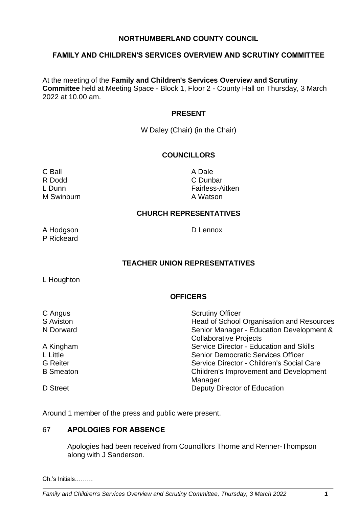# **NORTHUMBERLAND COUNTY COUNCIL**

## **FAMILY AND CHILDREN'S SERVICES OVERVIEW AND SCRUTINY COMMITTEE**

At the meeting of the **Family and Children's Services Overview and Scrutiny Committee** held at Meeting Space - Block 1, Floor 2 - County Hall on Thursday, 3 March 2022 at 10.00 am.

#### **PRESENT**

W Daley (Chair) (in the Chair)

# **COUNCILLORS**

C Ball **C** Ball **A Dale** R Dodd C Dunbar M Swinburn **A Watson** 

L Dunn Fairless-Aitken

## **CHURCH REPRESENTATIVES**

A Hodgson D Lennox P Rickeard

## **TEACHER UNION REPRESENTATIVES**

L Houghton

## **OFFICERS**

| C Angus          | <b>Scrutiny Officer</b>                   |
|------------------|-------------------------------------------|
| S Aviston        | Head of School Organisation and Resources |
| N Dorward        | Senior Manager - Education Development &  |
|                  | <b>Collaborative Projects</b>             |
| A Kingham        | Service Director - Education and Skills   |
| L Little         | <b>Senior Democratic Services Officer</b> |
| <b>G</b> Reiter  | Service Director - Children's Social Care |
| <b>B</b> Smeaton | Children's Improvement and Development    |
|                  | Manager                                   |
| D Street         | Deputy Director of Education              |

Around 1 member of the press and public were present.

# 67 **APOLOGIES FOR ABSENCE**

Apologies had been received from Councillors Thorne and Renner-Thompson along with J Sanderson.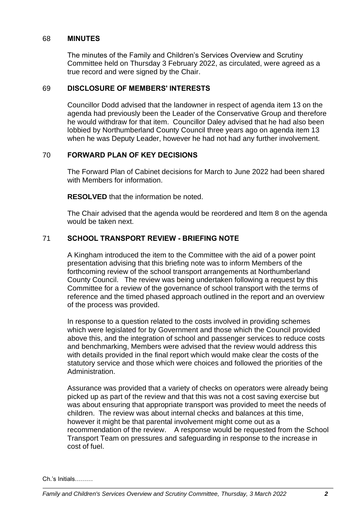#### 68 **MINUTES**

The minutes of the Family and Children's Services Overview and Scrutiny Committee held on Thursday 3 February 2022, as circulated, were agreed as a true record and were signed by the Chair.

#### 69 **DISCLOSURE OF MEMBERS' INTERESTS**

Councillor Dodd advised that the landowner in respect of agenda item 13 on the agenda had previously been the Leader of the Conservative Group and therefore he would withdraw for that item. Councillor Daley advised that he had also been lobbied by Northumberland County Council three years ago on agenda item 13 when he was Deputy Leader, however he had not had any further involvement.

# 70 **FORWARD PLAN OF KEY DECISIONS**

The Forward Plan of Cabinet decisions for March to June 2022 had been shared with Members for information.

**RESOLVED** that the information be noted.

The Chair advised that the agenda would be reordered and Item 8 on the agenda would be taken next.

# 71 **SCHOOL TRANSPORT REVIEW - BRIEFING NOTE**

A Kingham introduced the item to the Committee with the aid of a power point presentation advising that this briefing note was to inform Members of the forthcoming review of the school transport arrangements at Northumberland County Council. The review was being undertaken following a request by this Committee for a review of the governance of school transport with the terms of reference and the timed phased approach outlined in the report and an overview of the process was provided.

In response to a question related to the costs involved in providing schemes which were legislated for by Government and those which the Council provided above this, and the integration of school and passenger services to reduce costs and benchmarking, Members were advised that the review would address this with details provided in the final report which would make clear the costs of the statutory service and those which were choices and followed the priorities of the Administration.

Assurance was provided that a variety of checks on operators were already being picked up as part of the review and that this was not a cost saving exercise but was about ensuring that appropriate transport was provided to meet the needs of children. The review was about internal checks and balances at this time, however it might be that parental involvement might come out as a recommendation of the review. A response would be requested from the School Transport Team on pressures and safeguarding in response to the increase in cost of fuel.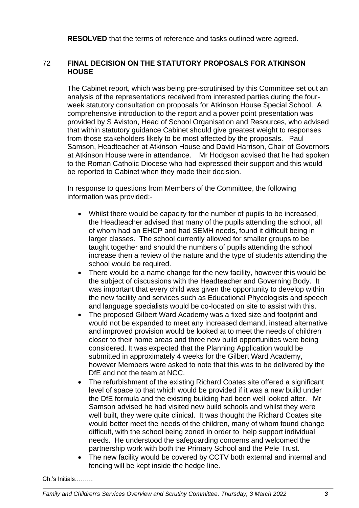**RESOLVED** that the terms of reference and tasks outlined were agreed.

# 72 **FINAL DECISION ON THE STATUTORY PROPOSALS FOR ATKINSON HOUSE**

The Cabinet report, which was being pre-scrutinised by this Committee set out an analysis of the representations received from interested parties during the fourweek statutory consultation on proposals for Atkinson House Special School. A comprehensive introduction to the report and a power point presentation was provided by S Aviston, Head of School Organisation and Resources, who advised that within statutory guidance Cabinet should give greatest weight to responses from those stakeholders likely to be most affected by the proposals. Paul Samson, Headteacher at Atkinson House and David Harrison, Chair of Governors at Atkinson House were in attendance. Mr Hodgson advised that he had spoken to the Roman Catholic Diocese who had expressed their support and this would be reported to Cabinet when they made their decision.

In response to questions from Members of the Committee, the following information was provided:-

- Whilst there would be capacity for the number of pupils to be increased, the Headteacher advised that many of the pupils attending the school, all of whom had an EHCP and had SEMH needs, found it difficult being in larger classes. The school currently allowed for smaller groups to be taught together and should the numbers of pupils attending the school increase then a review of the nature and the type of students attending the school would be required.
- There would be a name change for the new facility, however this would be the subject of discussions with the Headteacher and Governing Body. It was important that every child was given the opportunity to develop within the new facility and services such as Educational Phycologists and speech and language specialists would be co-located on site to assist with this.
- The proposed Gilbert Ward Academy was a fixed size and footprint and would not be expanded to meet any increased demand, instead alternative and improved provision would be looked at to meet the needs of children closer to their home areas and three new build opportunities were being considered. It was expected that the Planning Application would be submitted in approximately 4 weeks for the Gilbert Ward Academy, however Members were asked to note that this was to be delivered by the DfE and not the team at NCC.
- The refurbishment of the existing Richard Coates site offered a significant level of space to that which would be provided if it was a new build under the DfE formula and the existing building had been well looked after. Mr Samson advised he had visited new build schools and whilst they were well built, they were quite clinical. It was thought the Richard Coates site would better meet the needs of the children, many of whom found change difficult, with the school being zoned in order to help support individual needs. He understood the safeguarding concerns and welcomed the partnership work with both the Primary School and the Pele Trust.
- The new facility would be covered by CCTV both external and internal and fencing will be kept inside the hedge line.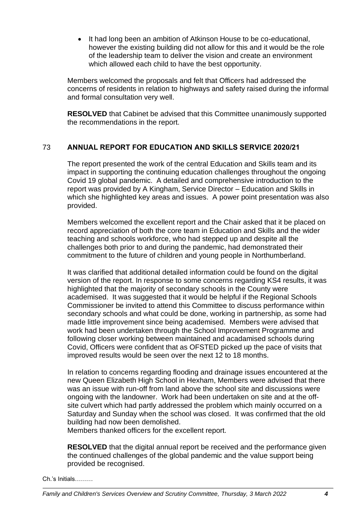• It had long been an ambition of Atkinson House to be co-educational, however the existing building did not allow for this and it would be the role of the leadership team to deliver the vision and create an environment which allowed each child to have the best opportunity.

Members welcomed the proposals and felt that Officers had addressed the concerns of residents in relation to highways and safety raised during the informal and formal consultation very well.

**RESOLVED** that Cabinet be advised that this Committee unanimously supported the recommendations in the report.

# 73 **ANNUAL REPORT FOR EDUCATION AND SKILLS SERVICE 2020/21**

The report presented the work of the central Education and Skills team and its impact in supporting the continuing education challenges throughout the ongoing Covid 19 global pandemic. A detailed and comprehensive introduction to the report was provided by A Kingham, Service Director – Education and Skills in which she highlighted key areas and issues. A power point presentation was also provided.

Members welcomed the excellent report and the Chair asked that it be placed on record appreciation of both the core team in Education and Skills and the wider teaching and schools workforce, who had stepped up and despite all the challenges both prior to and during the pandemic, had demonstrated their commitment to the future of children and young people in Northumberland.

It was clarified that additional detailed information could be found on the digital version of the report. In response to some concerns regarding KS4 results, it was highlighted that the majority of secondary schools in the County were academised. It was suggested that it would be helpful if the Regional Schools Commissioner be invited to attend this Committee to discuss performance within secondary schools and what could be done, working in partnership, as some had made little improvement since being academised. Members were advised that work had been undertaken through the School Improvement Programme and following closer working between maintained and acadamised schools during Covid, Officers were confident that as OFSTED picked up the pace of visits that improved results would be seen over the next 12 to 18 months.

In relation to concerns regarding flooding and drainage issues encountered at the new Queen Elizabeth High School in Hexham, Members were advised that there was an issue with run-off from land above the school site and discussions were ongoing with the landowner. Work had been undertaken on site and at the offsite culvert which had partly addressed the problem which mainly occurred on a Saturday and Sunday when the school was closed. It was confirmed that the old building had now been demolished.

Members thanked officers for the excellent report.

**RESOLVED** that the digital annual report be received and the performance given the continued challenges of the global pandemic and the value support being provided be recognised.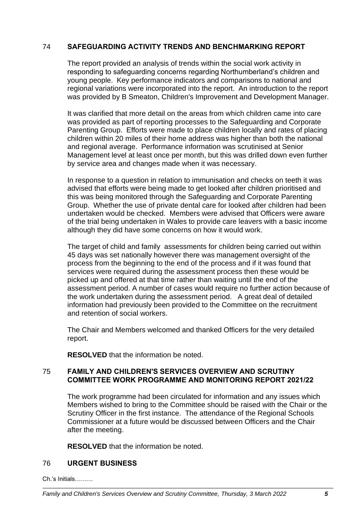# 74 **SAFEGUARDING ACTIVITY TRENDS AND BENCHMARKING REPORT**

The report provided an analysis of trends within the social work activity in responding to safeguarding concerns regarding Northumberland's children and young people. Key performance indicators and comparisons to national and regional variations were incorporated into the report. An introduction to the report was provided by B Smeaton, Children's Improvement and Development Manager.

It was clarified that more detail on the areas from which children came into care was provided as part of reporting processes to the Safeguarding and Corporate Parenting Group. Efforts were made to place children locally and rates of placing children within 20 miles of their home address was higher than both the national and regional average. Performance information was scrutinised at Senior Management level at least once per month, but this was drilled down even further by service area and changes made when it was necessary.

In response to a question in relation to immunisation and checks on teeth it was advised that efforts were being made to get looked after children prioritised and this was being monitored through the Safeguarding and Corporate Parenting Group. Whether the use of private dental care for looked after children had been undertaken would be checked. Members were advised that Officers were aware of the trial being undertaken in Wales to provide care leavers with a basic income although they did have some concerns on how it would work.

The target of child and family assessments for children being carried out within 45 days was set nationally however there was management oversight of the process from the beginning to the end of the process and if it was found that services were required during the assessment process then these would be picked up and offered at that time rather than waiting until the end of the assessment period. A number of cases would require no further action because of the work undertaken during the assessment period. A great deal of detailed information had previously been provided to the Committee on the recruitment and retention of social workers.

The Chair and Members welcomed and thanked Officers for the very detailed report.

**RESOLVED** that the information be noted.

## 75 **FAMILY AND CHILDREN'S SERVICES OVERVIEW AND SCRUTINY COMMITTEE WORK PROGRAMME AND MONITORING REPORT 2021/22**

The work programme had been circulated for information and any issues which Members wished to bring to the Committee should be raised with the Chair or the Scrutiny Officer in the first instance. The attendance of the Regional Schools Commissioner at a future would be discussed between Officers and the Chair after the meeting.

**RESOLVED** that the information be noted.

## 76 **URGENT BUSINESS**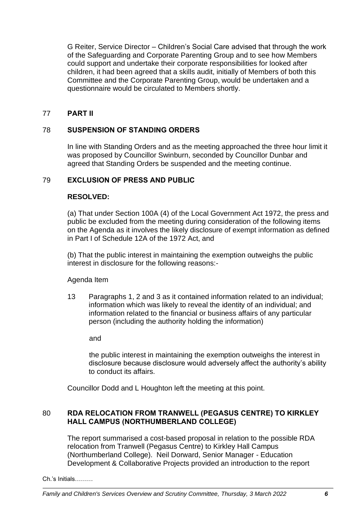G Reiter, Service Director – Children's Social Care advised that through the work of the Safeguarding and Corporate Parenting Group and to see how Members could support and undertake their corporate responsibilities for looked after children, it had been agreed that a skills audit, initially of Members of both this Committee and the Corporate Parenting Group, would be undertaken and a questionnaire would be circulated to Members shortly.

# 77 **PART II**

# 78 **SUSPENSION OF STANDING ORDERS**

In line with Standing Orders and as the meeting approached the three hour limit it was proposed by Councillor Swinburn, seconded by Councillor Dunbar and agreed that Standing Orders be suspended and the meeting continue.

## 79 **EXCLUSION OF PRESS AND PUBLIC**

## **RESOLVED:**

(a) That under Section 100A (4) of the Local Government Act 1972, the press and public be excluded from the meeting during consideration of the following items on the Agenda as it involves the likely disclosure of exempt information as defined in Part I of Schedule 12A of the 1972 Act, and

(b) That the public interest in maintaining the exemption outweighs the public interest in disclosure for the following reasons:-

## Agenda Item

13 Paragraphs 1, 2 and 3 as it contained information related to an individual; information which was likely to reveal the identity of an individual; and information related to the financial or business affairs of any particular person (including the authority holding the information)

and

the public interest in maintaining the exemption outweighs the interest in disclosure because disclosure would adversely affect the authority's ability to conduct its affairs.

Councillor Dodd and L Houghton left the meeting at this point.

# 80 **RDA RELOCATION FROM TRANWELL (PEGASUS CENTRE) TO KIRKLEY HALL CAMPUS (NORTHUMBERLAND COLLEGE)**

The report summarised a cost-based proposal in relation to the possible RDA relocation from Tranwell (Pegasus Centre) to Kirkley Hall Campus (Northumberland College). Neil Dorward, Senior Manager - Education Development & Collaborative Projects provided an introduction to the report